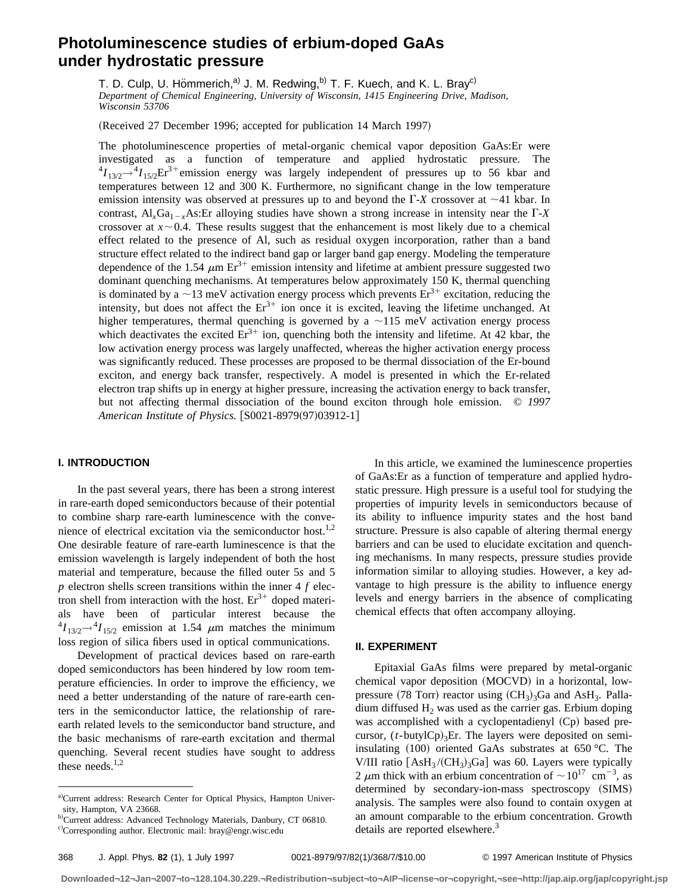# **Photoluminescence studies of erbium-doped GaAs under hydrostatic pressure**

T. D. Culp, U. Hömmerich,<sup>a)</sup> J. M. Redwing,<sup>b)</sup> T. F. Kuech, and K. L. Bray<sup>c)</sup> *Department of Chemical Engineering, University of Wisconsin, 1415 Engineering Drive, Madison, Wisconsin 53706*

(Received 27 December 1996; accepted for publication 14 March 1997)

The photoluminescence properties of metal-organic chemical vapor deposition GaAs:Er were investigated as a function of temperature and applied hydrostatic pressure. The  ${}^4I_{13/2} \rightarrow {}^4I_{15/2}$ Er<sup>3+</sup>emission energy was largely independent of pressures up to 56 kbar and temperatures between 12 and 300 K. Furthermore, no significant change in the low temperature emission intensity was observed at pressures up to and beyond the  $\Gamma$ -*X* crossover at  $\sim$ 41 kbar. In contrast,  $Al_xGa_{1-x}As:Er$  alloying studies have shown a strong increase in intensity near the  $\Gamma X$ crossover at  $x \sim 0.4$ . These results suggest that the enhancement is most likely due to a chemical effect related to the presence of Al, such as residual oxygen incorporation, rather than a band structure effect related to the indirect band gap or larger band gap energy. Modeling the temperature dependence of the 1.54  $\mu$ m Er<sup>3+</sup> emission intensity and lifetime at ambient pressure suggested two dominant quenching mechanisms. At temperatures below approximately 150 K, thermal quenching is dominated by a  $\sim$ 13 meV activation energy process which prevents  $E r^{3+}$  excitation, reducing the intensity, but does not affect the  $Er^{3+}$  ion once it is excited, leaving the lifetime unchanged. At higher temperatures, thermal quenching is governed by a  $\sim$ 115 meV activation energy process which deactivates the excited  $Er^{3+}$  ion, quenching both the intensity and lifetime. At 42 kbar, the low activation energy process was largely unaffected, whereas the higher activation energy process was significantly reduced. These processes are proposed to be thermal dissociation of the Er-bound exciton, and energy back transfer, respectively. A model is presented in which the Er-related electron trap shifts up in energy at higher pressure, increasing the activation energy to back transfer, but not affecting thermal dissociation of the bound exciton through hole emission. © *1997 American Institute of Physics.* [S0021-8979(97)03912-1]

# **I. INTRODUCTION**

In the past several years, there has been a strong interest in rare-earth doped semiconductors because of their potential to combine sharp rare-earth luminescence with the convenience of electrical excitation via the semiconductor host.<sup>1,2</sup> One desirable feature of rare-earth luminescence is that the emission wavelength is largely independent of both the host material and temperature, because the filled outer 5*s* and 5 *p* electron shells screen transitions within the inner 4 *f* electron shell from interaction with the host.  $Er^{3+}$  doped materials have been of particular interest because the  $^{4}I_{13/2} \rightarrow ^{4}I_{15/2}$  emission at 1.54  $\mu$ m matches the minimum loss region of silica fibers used in optical communications.

Development of practical devices based on rare-earth doped semiconductors has been hindered by low room temperature efficiencies. In order to improve the efficiency, we need a better understanding of the nature of rare-earth centers in the semiconductor lattice, the relationship of rareearth related levels to the semiconductor band structure, and the basic mechanisms of rare-earth excitation and thermal quenching. Several recent studies have sought to address these needs. $1,2$ 

In this article, we examined the luminescence properties of GaAs:Er as a function of temperature and applied hydrostatic pressure. High pressure is a useful tool for studying the properties of impurity levels in semiconductors because of its ability to influence impurity states and the host band structure. Pressure is also capable of altering thermal energy barriers and can be used to elucidate excitation and quenching mechanisms. In many respects, pressure studies provide information similar to alloying studies. However, a key advantage to high pressure is the ability to influence energy levels and energy barriers in the absence of complicating chemical effects that often accompany alloying.

#### **II. EXPERIMENT**

Epitaxial GaAs films were prepared by metal-organic chemical vapor deposition (MOCVD) in a horizontal, lowpressure (78 Torr) reactor using  $(CH_3)_3Ga$  and AsH<sub>3</sub>. Palladium diffused  $H_2$  was used as the carrier gas. Erbium doping was accomplished with a cyclopentadienyl  $(Cp)$  based precursor,  $(t$ -butylCp)<sub>3</sub>Er. The layers were deposited on semiinsulating  $(100)$  oriented GaAs substrates at 650 °C. The V/III ratio  $[AsH_3 / (CH_3)_3Ga]$  was 60. Layers were typically 2  $\mu$ m thick with an erbium concentration of  $\sim 10^{17}$  cm<sup>-3</sup>, as determined by secondary-ion-mass spectroscopy (SIMS) analysis. The samples were also found to contain oxygen at an amount comparable to the erbium concentration. Growth details are reported elsewhere.<sup>3</sup>

a)Current address: Research Center for Optical Physics, Hampton University, Hampton, VA 23668.

b)Current address: Advanced Technology Materials, Danbury, CT 06810.

c)Corresponding author. Electronic mail: bray@engr.wisc.edu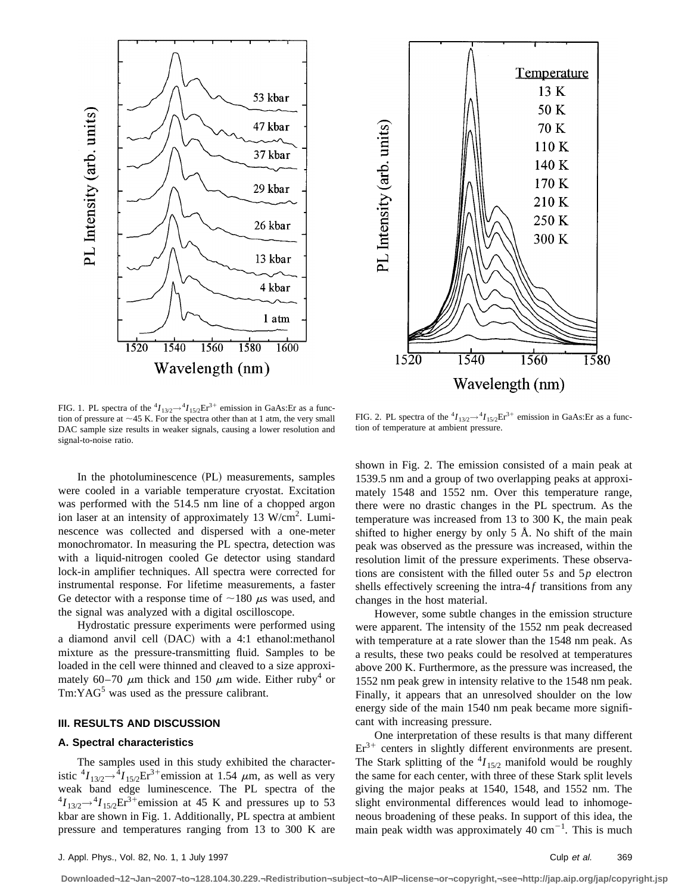



FIG. 1. PL spectra of the  ${}^4I_{13/2} \rightarrow {}^4I_{15/2} \text{Er}^{3+}$  emission in GaAs:Er as a function of pressure at  ${\sim}45$  K. For the spectra other than at 1 atm, the very small DAC sample size results in weaker signals, causing a lower resolution and signal-to-noise ratio.

FIG. 2. PL spectra of the  ${}^4I_{13/2} \rightarrow {}^4I_{15/2} \text{Er}^{3+}$  emission in GaAs:Er as a function of temperature at ambient pressure.

In the photoluminescence (PL) measurements, samples were cooled in a variable temperature cryostat. Excitation was performed with the 514.5 nm line of a chopped argon ion laser at an intensity of approximately 13 W/cm<sup>2</sup>. Luminescence was collected and dispersed with a one-meter monochromator. In measuring the PL spectra, detection was with a liquid-nitrogen cooled Ge detector using standard lock-in amplifier techniques. All spectra were corrected for instrumental response. For lifetime measurements, a faster Ge detector with a response time of  $\sim$ 180  $\mu$ s was used, and the signal was analyzed with a digital oscilloscope.

Hydrostatic pressure experiments were performed using a diamond anvil cell  $(DAC)$  with a 4:1 ethanol:methanol mixture as the pressure-transmitting fluid. Samples to be loaded in the cell were thinned and cleaved to a size approximately 60–70  $\mu$ m thick and 150  $\mu$ m wide. Either ruby<sup>4</sup> or  $Tm:YAG<sup>5</sup>$  was used as the pressure calibrant.

# **III. RESULTS AND DISCUSSION**

### **A. Spectral characteristics**

The samples used in this study exhibited the characteristic  ${}^4I_{13/2} \rightarrow {}^4I_{15/2} \text{Er}^3$ +emission at 1.54  $\mu$ m, as well as very weak band edge luminescence. The PL spectra of the  ${}^{4}I_{13/2}$  $\rightarrow$  ${}^{4}I_{15/2}$ Er<sup>3+</sup>emission at 45 K and pressures up to 53 kbar are shown in Fig. 1. Additionally, PL spectra at ambient pressure and temperatures ranging from 13 to 300 K are shown in Fig. 2. The emission consisted of a main peak at 1539.5 nm and a group of two overlapping peaks at approximately 1548 and 1552 nm. Over this temperature range, there were no drastic changes in the PL spectrum. As the temperature was increased from 13 to 300 K, the main peak shifted to higher energy by only  $5 \text{ Å}$ . No shift of the main peak was observed as the pressure was increased, within the resolution limit of the pressure experiments. These observations are consistent with the filled outer 5*s* and 5*p* electron shells effectively screening the intra- $4f$  transitions from any changes in the host material.

However, some subtle changes in the emission structure were apparent. The intensity of the 1552 nm peak decreased with temperature at a rate slower than the 1548 nm peak. As a results, these two peaks could be resolved at temperatures above 200 K. Furthermore, as the pressure was increased, the 1552 nm peak grew in intensity relative to the 1548 nm peak. Finally, it appears that an unresolved shoulder on the low energy side of the main 1540 nm peak became more significant with increasing pressure.

One interpretation of these results is that many different  $Er<sup>3+</sup>$  centers in slightly different environments are present. The Stark splitting of the  ${}^{4}I_{15/2}$  manifold would be roughly the same for each center, with three of these Stark split levels giving the major peaks at 1540, 1548, and 1552 nm. The slight environmental differences would lead to inhomogeneous broadening of these peaks. In support of this idea, the main peak width was approximately  $40 \text{ cm}^{-1}$ . This is much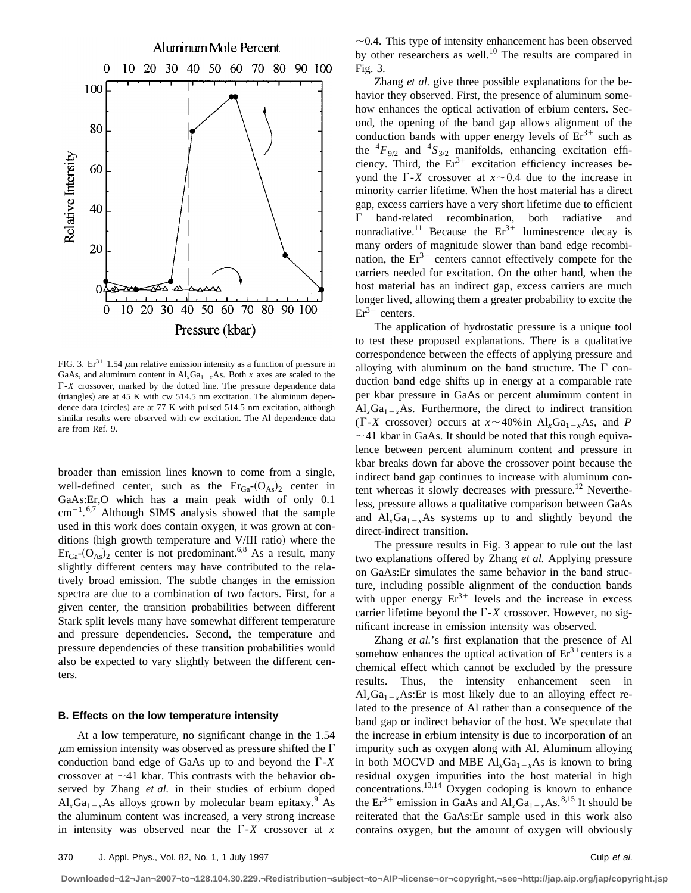

FIG. 3. Er<sup>3+</sup> 1.54  $\mu$ m relative emission intensity as a function of pressure in GaAs, and aluminum content in  $AI_xGa_{1-x}As$ . Both *x* axes are scaled to the  $\Gamma$ -*X* crossover, marked by the dotted line. The pressure dependence data  $(triangles)$  are at 45 K with cw 514.5 nm excitation. The aluminum dependence data (circles) are at 77 K with pulsed 514.5 nm excitation, although similar results were observed with cw excitation. The Al dependence data are from Ref. 9.

broader than emission lines known to come from a single, well-defined center, such as the  $\text{Er}_{Ga}(\text{O}_{As})_2$  center in GaAs:Er,O which has a main peak width of only 0.1  $\text{cm}^{-1}$ .<sup>6,7</sup> Although SIMS analysis showed that the sample used in this work does contain oxygen, it was grown at conditions (high growth temperature and V/III ratio) where the  $\text{Er}_{Ga}$ - $(O_{As})$ <sub>2</sub> center is not predominant.<sup>6,8</sup> As a result, many slightly different centers may have contributed to the relatively broad emission. The subtle changes in the emission spectra are due to a combination of two factors. First, for a given center, the transition probabilities between different Stark split levels many have somewhat different temperature and pressure dependencies. Second, the temperature and pressure dependencies of these transition probabilities would also be expected to vary slightly between the different centers.

#### **B. Effects on the low temperature intensity**

At a low temperature, no significant change in the 1.54  $\mu$ m emission intensity was observed as pressure shifted the  $\Gamma$ conduction band edge of GaAs up to and beyond the  $\Gamma$ -*X* crossover at  $\sim$ 41 kbar. This contrasts with the behavior observed by Zhang *et al.* in their studies of erbium doped  $Al_xGa_{1-x}As$  alloys grown by molecular beam epitaxy.<sup>9</sup> As the aluminum content was increased, a very strong increase in intensity was observed near the  $\Gamma$ -*X* crossover at *x*   $\sim$ 0.4. This type of intensity enhancement has been observed by other researchers as well.<sup>10</sup> The results are compared in Fig. 3.

Zhang *et al.* give three possible explanations for the behavior they observed. First, the presence of aluminum somehow enhances the optical activation of erbium centers. Second, the opening of the band gap allows alignment of the conduction bands with upper energy levels of  $Er<sup>3+</sup>$  such as the  ${}^4F_{9/2}$  and  ${}^4S_{3/2}$  manifolds, enhancing excitation efficiency. Third, the  $Er^{3+}$  excitation efficiency increases beyond the  $\Gamma$ -*X* crossover at  $x \sim 0.4$  due to the increase in minority carrier lifetime. When the host material has a direct gap, excess carriers have a very short lifetime due to efficient  $\Gamma$  band-related recombination, both radiative and nonradiative.<sup>11</sup> Because the  $Er^{3+}$  luminescence decay is many orders of magnitude slower than band edge recombination, the  $Er^{3+}$  centers cannot effectively compete for the carriers needed for excitation. On the other hand, when the host material has an indirect gap, excess carriers are much longer lived, allowing them a greater probability to excite the  $Er<sup>3+</sup> centers.$ 

The application of hydrostatic pressure is a unique tool to test these proposed explanations. There is a qualitative correspondence between the effects of applying pressure and alloying with aluminum on the band structure. The  $\Gamma$  conduction band edge shifts up in energy at a comparable rate per kbar pressure in GaAs or percent aluminum content in  $Al_xGa_{1-x}As.$  Furthermore, the direct to indirect transition ( $\Gamma$ -*X* crossover) occurs at  $x \sim 40\%$  in Al<sub>x</sub>Ga<sub>1-x</sub>As, and *P*  $\sim$  41 kbar in GaAs. It should be noted that this rough equivalence between percent aluminum content and pressure in kbar breaks down far above the crossover point because the indirect band gap continues to increase with aluminum content whereas it slowly decreases with pressure.<sup>12</sup> Nevertheless, pressure allows a qualitative comparison between GaAs and  $Al_xGa_{1-x}As$  systems up to and slightly beyond the direct-indirect transition.

The pressure results in Fig. 3 appear to rule out the last two explanations offered by Zhang *et al.* Applying pressure on GaAs:Er simulates the same behavior in the band structure, including possible alignment of the conduction bands with upper energy  $Er^{3+}$  levels and the increase in excess carrier lifetime beyond the  $\Gamma$ -*X* crossover. However, no significant increase in emission intensity was observed.

Zhang *et al.*'s first explanation that the presence of Al somehow enhances the optical activation of  $Er^{3+}$ centers is a chemical effect which cannot be excluded by the pressure results. Thus, the intensity enhancement seen in  $Al_xGa_{1-x}As:Er$  is most likely due to an alloying effect related to the presence of Al rather than a consequence of the band gap or indirect behavior of the host. We speculate that the increase in erbium intensity is due to incorporation of an impurity such as oxygen along with Al. Aluminum alloying in both MOCVD and MBE  $Al_xGa_{1-x}As$  is known to bring residual oxygen impurities into the host material in high concentrations.<sup>13,14</sup> Oxygen codoping is known to enhance the  $Er^{3+}$  emission in GaAs and  $AI_rGa_{1-r}As.^{8,15}$  It should be reiterated that the GaAs:Er sample used in this work also contains oxygen, but the amount of oxygen will obviously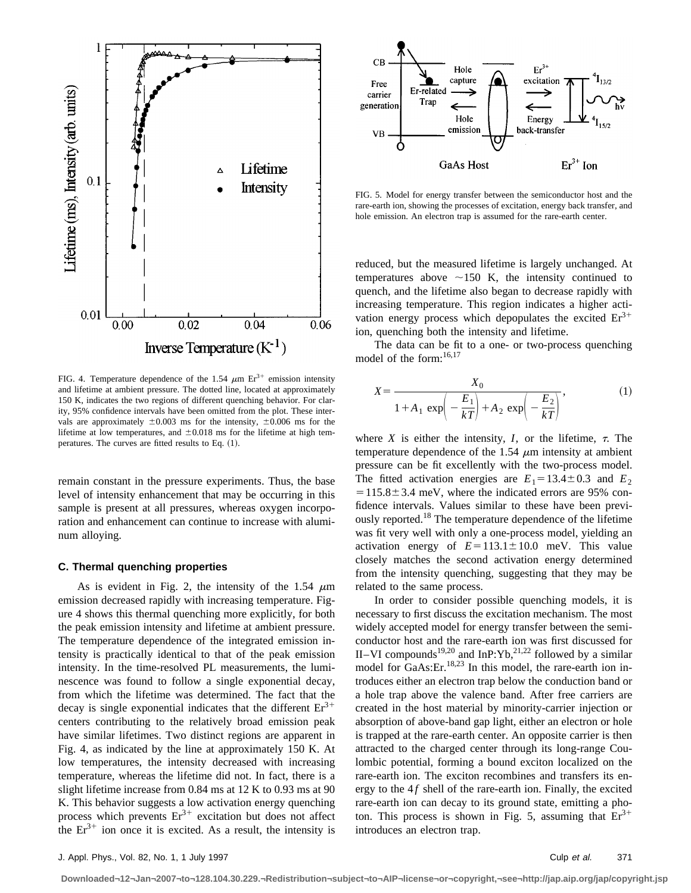

FIG. 4. Temperature dependence of the 1.54  $\mu$ m Er<sup>3+</sup> emission intensity and lifetime at ambient pressure. The dotted line, located at approximately 150 K, indicates the two regions of different quenching behavior. For clarity, 95% confidence intervals have been omitted from the plot. These intervals are approximately  $\pm 0.003$  ms for the intensity,  $\pm 0.006$  ms for the lifetime at low temperatures, and  $\pm 0.018$  ms for the lifetime at high temperatures. The curves are fitted results to Eq.  $(1)$ .

remain constant in the pressure experiments. Thus, the base level of intensity enhancement that may be occurring in this sample is present at all pressures, whereas oxygen incorporation and enhancement can continue to increase with aluminum alloying.

#### **C. Thermal quenching properties**

As is evident in Fig. 2, the intensity of the 1.54  $\mu$ m emission decreased rapidly with increasing temperature. Figure 4 shows this thermal quenching more explicitly, for both the peak emission intensity and lifetime at ambient pressure. The temperature dependence of the integrated emission intensity is practically identical to that of the peak emission intensity. In the time-resolved PL measurements, the luminescence was found to follow a single exponential decay, from which the lifetime was determined. The fact that the decay is single exponential indicates that the different  $Er^{3+}$ centers contributing to the relatively broad emission peak have similar lifetimes. Two distinct regions are apparent in Fig. 4, as indicated by the line at approximately 150 K. At low temperatures, the intensity decreased with increasing temperature, whereas the lifetime did not. In fact, there is a slight lifetime increase from 0.84 ms at 12 K to 0.93 ms at 90 K. This behavior suggests a low activation energy quenching process which prevents  $Er^{3+}$  excitation but does not affect the  $Er^{3+}$  ion once it is excited. As a result, the intensity is



FIG. 5. Model for energy transfer between the semiconductor host and the rare-earth ion, showing the processes of excitation, energy back transfer, and hole emission. An electron trap is assumed for the rare-earth center.

reduced, but the measured lifetime is largely unchanged. At temperatures above  $\sim$ 150 K, the intensity continued to quench, and the lifetime also began to decrease rapidly with increasing temperature. This region indicates a higher activation energy process which depopulates the excited  $Er^{3+}$ ion, quenching both the intensity and lifetime.

The data can be fit to a one- or two-process quenching model of the form:<sup>16,17</sup>

$$
X = \frac{X_0}{1 + A_1 \exp\left(-\frac{E_1}{kT}\right) + A_2 \exp\left(-\frac{E_2}{kT}\right)},
$$
\n(1)

where *X* is either the intensity, *I*, or the lifetime,  $\tau$ . The temperature dependence of the 1.54  $\mu$ m intensity at ambient pressure can be fit excellently with the two-process model. The fitted activation energies are  $E_1 = 13.4 \pm 0.3$  and  $E_2$  $=115.8\pm3.4$  meV, where the indicated errors are 95% confidence intervals. Values similar to these have been previously reported.<sup>18</sup> The temperature dependence of the lifetime was fit very well with only a one-process model, yielding an activation energy of  $E=113.1\pm10.0$  meV. This value closely matches the second activation energy determined from the intensity quenching, suggesting that they may be related to the same process.

In order to consider possible quenching models, it is necessary to first discuss the excitation mechanism. The most widely accepted model for energy transfer between the semiconductor host and the rare-earth ion was first discussed for II–VI compounds<sup>19,20</sup> and InP:Yb,<sup>21,22</sup> followed by a similar model for GaAs:Er.<sup>18,23</sup> In this model, the rare-earth ion introduces either an electron trap below the conduction band or a hole trap above the valence band. After free carriers are created in the host material by minority-carrier injection or absorption of above-band gap light, either an electron or hole is trapped at the rare-earth center. An opposite carrier is then attracted to the charged center through its long-range Coulombic potential, forming a bound exciton localized on the rare-earth ion. The exciton recombines and transfers its energy to the  $4f$  shell of the rare-earth ion. Finally, the excited rare-earth ion can decay to its ground state, emitting a photon. This process is shown in Fig. 5, assuming that  $Er^{3+}$ introduces an electron trap.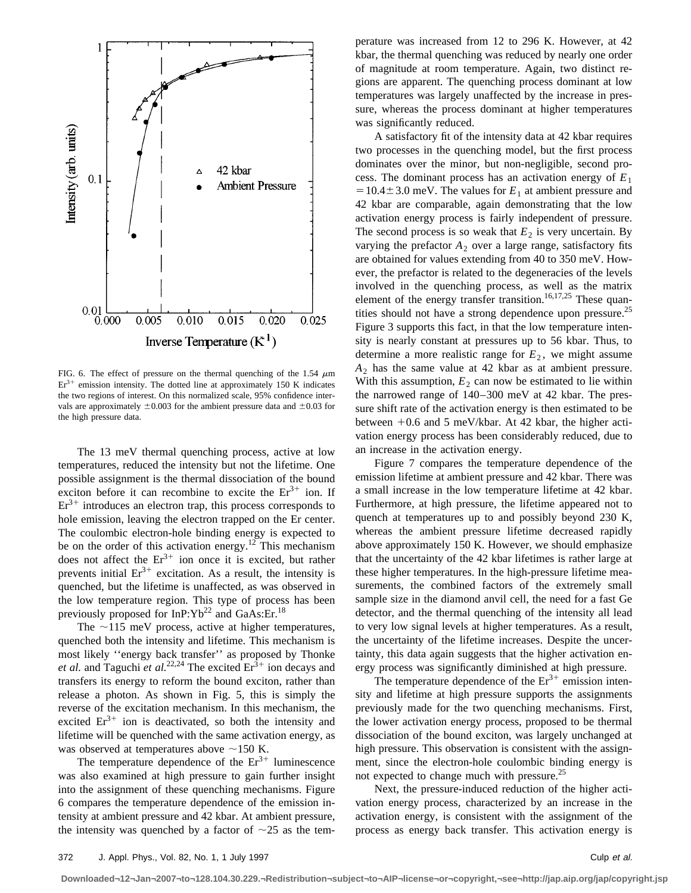

FIG. 6. The effect of pressure on the thermal quenching of the 1.54  $\mu$ m  $Er<sup>3+</sup>$  emission intensity. The dotted line at approximately 150 K indicates the two regions of interest. On this normalized scale, 95% confidence intervals are approximately  $\pm 0.003$  for the ambient pressure data and  $\pm 0.03$  for the high pressure data.

The 13 meV thermal quenching process, active at low temperatures, reduced the intensity but not the lifetime. One possible assignment is the thermal dissociation of the bound exciton before it can recombine to excite the  $Er^{3+}$  ion. If  $Er<sup>3+</sup>$  introduces an electron trap, this process corresponds to hole emission, leaving the electron trapped on the Er center. The coulombic electron-hole binding energy is expected to be on the order of this activation energy.<sup>12</sup> This mechanism does not affect the  $Er^{3+}$  ion once it is excited, but rather prevents initial  $Er^{3+}$  excitation. As a result, the intensity is quenched, but the lifetime is unaffected, as was observed in the low temperature region. This type of process has been previously proposed for  $InP:Yb^{22}$  and  $GaAs:Er.<sup>18</sup>$ 

The  $\sim$ 115 meV process, active at higher temperatures, quenched both the intensity and lifetime. This mechanism is most likely ''energy back transfer'' as proposed by Thonke *et al.* and Taguchi *et al.*<sup>22,24</sup> The excited  $Er^{3+}$  ion decays and transfers its energy to reform the bound exciton, rather than release a photon. As shown in Fig. 5, this is simply the reverse of the excitation mechanism. In this mechanism, the excited  $Er<sup>3+</sup>$  ion is deactivated, so both the intensity and lifetime will be quenched with the same activation energy, as was observed at temperatures above  $\sim$ 150 K.

The temperature dependence of the  $Er^{3+}$  luminescence was also examined at high pressure to gain further insight into the assignment of these quenching mechanisms. Figure 6 compares the temperature dependence of the emission intensity at ambient pressure and 42 kbar. At ambient pressure, the intensity was quenched by a factor of  $\sim$ 25 as the temperature was increased from 12 to 296 K. However, at 42 kbar, the thermal quenching was reduced by nearly one order of magnitude at room temperature. Again, two distinct regions are apparent. The quenching process dominant at low temperatures was largely unaffected by the increase in pressure, whereas the process dominant at higher temperatures was significantly reduced.

A satisfactory fit of the intensity data at 42 kbar requires two processes in the quenching model, but the first process dominates over the minor, but non-negligible, second process. The dominant process has an activation energy of  $E_1$  $=10.4\pm3.0$  meV. The values for  $E_1$  at ambient pressure and 42 kbar are comparable, again demonstrating that the low activation energy process is fairly independent of pressure. The second process is so weak that  $E_2$  is very uncertain. By varying the prefactor  $A_2$  over a large range, satisfactory fits are obtained for values extending from 40 to 350 meV. However, the prefactor is related to the degeneracies of the levels involved in the quenching process, as well as the matrix element of the energy transfer transition.<sup>16,17,25</sup> These quantities should not have a strong dependence upon pressure.<sup>25</sup> Figure 3 supports this fact, in that the low temperature intensity is nearly constant at pressures up to 56 kbar. Thus, to determine a more realistic range for  $E_2$ , we might assume  $A_2$  has the same value at 42 kbar as at ambient pressure. With this assumption,  $E_2$  can now be estimated to lie within the narrowed range of 140–300 meV at 42 kbar. The pressure shift rate of the activation energy is then estimated to be between  $+0.6$  and 5 meV/kbar. At 42 kbar, the higher activation energy process has been considerably reduced, due to an increase in the activation energy.

Figure 7 compares the temperature dependence of the emission lifetime at ambient pressure and 42 kbar. There was a small increase in the low temperature lifetime at 42 kbar. Furthermore, at high pressure, the lifetime appeared not to quench at temperatures up to and possibly beyond 230 K, whereas the ambient pressure lifetime decreased rapidly above approximately 150 K. However, we should emphasize that the uncertainty of the 42 kbar lifetimes is rather large at these higher temperatures. In the high-pressure lifetime measurements, the combined factors of the extremely small sample size in the diamond anvil cell, the need for a fast Ge detector, and the thermal quenching of the intensity all lead to very low signal levels at higher temperatures. As a result, the uncertainty of the lifetime increases. Despite the uncertainty, this data again suggests that the higher activation energy process was significantly diminished at high pressure.

The temperature dependence of the  $Er^{3+}$  emission intensity and lifetime at high pressure supports the assignments previously made for the two quenching mechanisms. First, the lower activation energy process, proposed to be thermal dissociation of the bound exciton, was largely unchanged at high pressure. This observation is consistent with the assignment, since the electron-hole coulombic binding energy is not expected to change much with pressure.<sup>25</sup>

Next, the pressure-induced reduction of the higher activation energy process, characterized by an increase in the activation energy, is consistent with the assignment of the process as energy back transfer. This activation energy is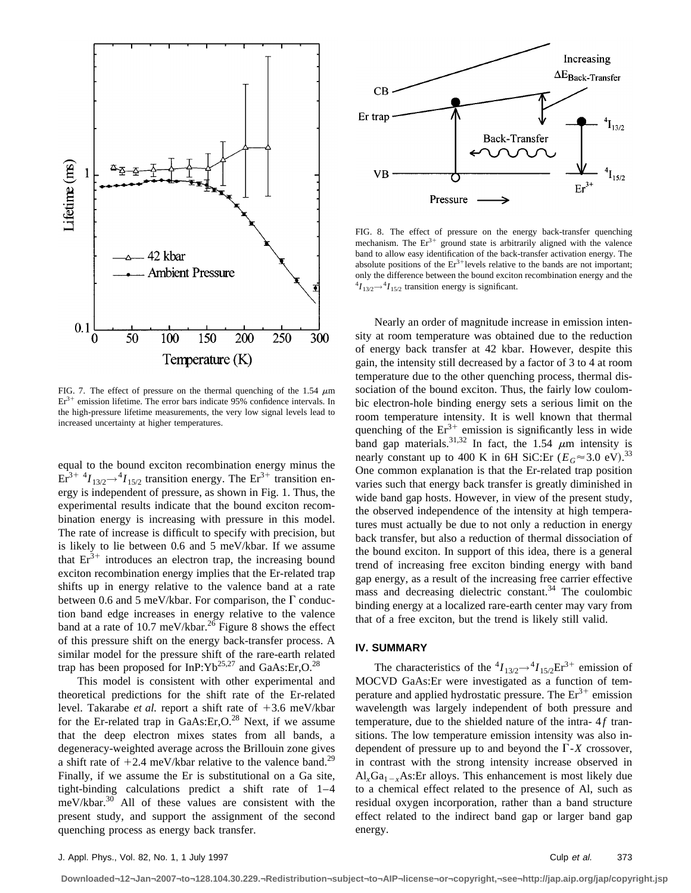

FIG. 7. The effect of pressure on the thermal quenching of the 1.54  $\mu$ m  $Er<sup>3+</sup>$  emission lifetime. The error bars indicate 95% confidence intervals. In the high-pressure lifetime measurements, the very low signal levels lead to increased uncertainty at higher temperatures.

equal to the bound exciton recombination energy minus the  $E_r^{3+4}$ *I*<sub>13/2</sub> + <sup>4</sup>*I*<sub>15/2</sub> transition energy. The  $E_r^{3+}$  transition energy is independent of pressure, as shown in Fig. 1. Thus, the experimental results indicate that the bound exciton recombination energy is increasing with pressure in this model. The rate of increase is difficult to specify with precision, but is likely to lie between 0.6 and 5 meV/kbar. If we assume that  $Er<sup>3+</sup>$  introduces an electron trap, the increasing bound exciton recombination energy implies that the Er-related trap shifts up in energy relative to the valence band at a rate between 0.6 and 5 meV/kbar. For comparison, the  $\Gamma$  conduction band edge increases in energy relative to the valence band at a rate of 10.7 meV/kbar.<sup>26</sup> Figure 8 shows the effect of this pressure shift on the energy back-transfer process. A similar model for the pressure shift of the rare-earth related trap has been proposed for InP: $Yb^{25,27}$  and GaAs:Er,O.<sup>28</sup>

This model is consistent with other experimental and theoretical predictions for the shift rate of the Er-related level. Takarabe *et al.* report a shift rate of  $+3.6$  meV/kbar for the Er-related trap in  $GaAs:Er, O.<sup>28</sup>$  Next, if we assume that the deep electron mixes states from all bands, a degeneracy-weighted average across the Brillouin zone gives a shift rate of  $+2.4$  meV/kbar relative to the valence band.<sup>29</sup> Finally, if we assume the Er is substitutional on a Ga site, tight-binding calculations predict a shift rate of 1–4  $meV/kbar.<sup>30</sup>$  All of these values are consistent with the present study, and support the assignment of the second quenching process as energy back transfer.



FIG. 8. The effect of pressure on the energy back-transfer quenching mechanism. The  $Er^{3+}$  ground state is arbitrarily aligned with the valence band to allow easy identification of the back-transfer activation energy. The absolute positions of the  $Er<sup>3+</sup>$  levels relative to the bands are not important; only the difference between the bound exciton recombination energy and the  $^{4}I_{13/2}$  $\rightarrow$  $^{4}I_{15/2}$  transition energy is significant.

Nearly an order of magnitude increase in emission intensity at room temperature was obtained due to the reduction of energy back transfer at 42 kbar. However, despite this gain, the intensity still decreased by a factor of 3 to 4 at room temperature due to the other quenching process, thermal dissociation of the bound exciton. Thus, the fairly low coulombic electron-hole binding energy sets a serious limit on the room temperature intensity. It is well known that thermal quenching of the  $Er^{3+}$  emission is significantly less in wide band gap materials.<sup>31,32</sup> In fact, the 1.54  $\mu$ m intensity is nearly constant up to 400 K in 6H SiC:Er  $(E_G \approx 3.0 \text{ eV})$ .<sup>33</sup> One common explanation is that the Er-related trap position varies such that energy back transfer is greatly diminished in wide band gap hosts. However, in view of the present study, the observed independence of the intensity at high temperatures must actually be due to not only a reduction in energy back transfer, but also a reduction of thermal dissociation of the bound exciton. In support of this idea, there is a general trend of increasing free exciton binding energy with band gap energy, as a result of the increasing free carrier effective mass and decreasing dielectric constant.<sup>34</sup> The coulombic binding energy at a localized rare-earth center may vary from that of a free exciton, but the trend is likely still valid.

### **IV. SUMMARY**

The characteristics of the  ${}^4I_{13/2} \rightarrow {}^4I_{15/2} \text{Er}^{3+}$  emission of MOCVD GaAs:Er were investigated as a function of temperature and applied hydrostatic pressure. The  $Er^{3+}$  emission wavelength was largely independent of both pressure and temperature, due to the shielded nature of the intra- 4*f* transitions. The low temperature emission intensity was also independent of pressure up to and beyond the  $\Gamma$ -*X* crossover, in contrast with the strong intensity increase observed in  $Al_xGa_{1-x}As:Er$  alloys. This enhancement is most likely due to a chemical effect related to the presence of Al, such as residual oxygen incorporation, rather than a band structure effect related to the indirect band gap or larger band gap energy.